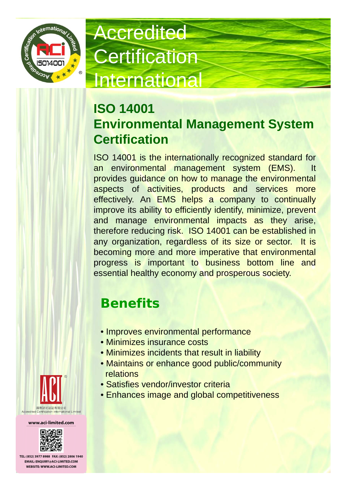

# **Accredited Certification** International

#### **ISO 14001 Environmental Management System Certification**

ISO 14001 is the internationally recognized standard for an environmental management system (EMS). It provides guidance on how to manage the environmental aspects of activities, products and services more effectively. An EMS helps a company to continually improve its ability to efficiently identify, minimize, prevent and manage environmental impacts as they arise, therefore reducing risk. ISO 14001 can be established in any organization, regardless of its size or sector. It is becoming more and more imperative that environmental progress is important to business bottom line and essential healthy economy and prosperous society.

### **Benefits**

- Improves environmental performance
- Minimizes insurance costs
- Minimizes incidents that result in liability
- Maintains or enhance good public/community relations
- Satisfies vendor/investor criteria
- Enhances image and global competitiveness



www.aci-limited.com



TEL: (852) 3977 8988 FAX: (852) 2806 1940 **EMAIL: ENOUIRY@ACI-LIMITED.COM** WEBSITE: WWW.ACI-LIMITED.COM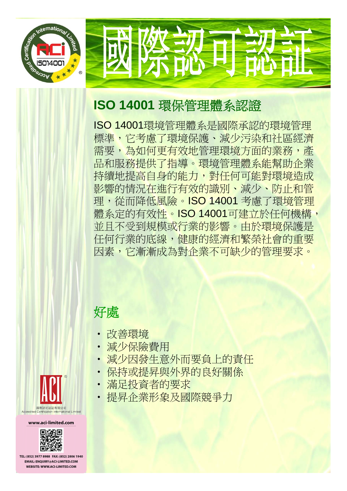

### **ISO 14001** 環保管理體系認證

ISO 14001環境管理體系是國際承認的環境管理 標準,它考慮了環境保護、減少污染和社區經濟 需要,為如何更有效地管理環境方面的業務,產 品和服務提供了指導。環境管理體系能幫助企業 持續地提高自身的能力,對任何可能對環境造成 影響的情況在進行有效的識別、減少、防止和管 理,從而降低風險。ISO 14001 考慮了環境管 體系定的有效性。ISO 14001可建立於任何機構, 並且不受到規模或行業的影響。由於環境保護是 任何行業的底線,健康的經濟和繁榮社會的重要 因素,它漸漸成為對企業不可缺少的管理要求。

#### 好處

- 改善環境
- 減少保險費用
- 減少因發生意外而要負上的責任
- 保持或提昇與外界的良好關係
- 滿足投資者的要求
- 提昇企業形象及國際競爭力



www.aci-limited.com



TEL: (852) 3977 8988 FAX: (852) 2806 1940 **EMAIL: ENOUIRY@ACI-LIMITED.COM** WEBSITE: WWW.ACI-LIMITED.COM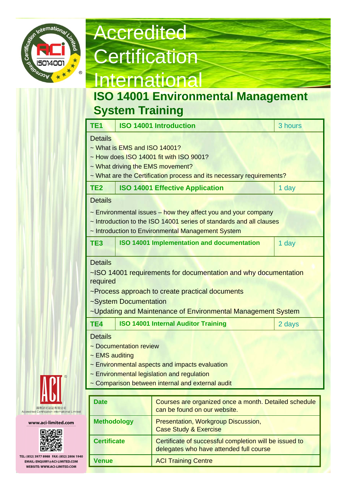

## **Accredited Certification International**

#### **ISO 14001 Environmental Management System Training**

| TE <sub>1</sub>                                                                               |                                                                                                                                                                                                                     | <b>ISO 14001 Introduction</b>                                                                              | 3 hours |  |  |  |  |
|-----------------------------------------------------------------------------------------------|---------------------------------------------------------------------------------------------------------------------------------------------------------------------------------------------------------------------|------------------------------------------------------------------------------------------------------------|---------|--|--|--|--|
|                                                                                               | <b>Details</b><br>~ What is EMS and ISO 14001?<br>~ How does ISO 14001 fit with ISO 9001?<br>~ What driving the EMS movement?<br>~ What are the Certification process and its necessary requirements?               |                                                                                                            |         |  |  |  |  |
| TE <sub>2</sub>                                                                               |                                                                                                                                                                                                                     | <b>ISO 14001 Effective Application</b>                                                                     | 1 day   |  |  |  |  |
|                                                                                               | <b>Details</b><br>$\sim$ Environmental issues – how they affect you and your company<br>~ Introduction to the ISO 14001 series of standards and all clauses<br>~ Introduction to Environmental Management System    |                                                                                                            |         |  |  |  |  |
| TE <sub>3</sub>                                                                               |                                                                                                                                                                                                                     | <b>ISO 14001 Implementation and documentation</b>                                                          | 1 day   |  |  |  |  |
| <b>Details</b><br>~ISO 14001 requirements for documentation and why documentation<br>required |                                                                                                                                                                                                                     |                                                                                                            |         |  |  |  |  |
| ~Process approach to create practical documents<br>~System Documentation                      |                                                                                                                                                                                                                     |                                                                                                            |         |  |  |  |  |
| TE4                                                                                           |                                                                                                                                                                                                                     | ~Updating and Maintenance of Environmental Management System<br><b>ISO 14001 Internal Auditor Training</b> | 2 days  |  |  |  |  |
|                                                                                               | <b>Details</b><br>~ Documentation review<br>$\sim$ EMS auditing<br>~ Environmental aspects and impacts evaluation<br>~ Environmental legislation and regulation<br>~ Comparison between internal and external audit |                                                                                                            |         |  |  |  |  |



#### www.aci-limited.com



TEL: (852) 3977 8988 FAX: (852) 2806 1940 **EMAIL: ENQUIRY@ACI-LIMITED.COM** WEBSITE: WWW.ACI-LIMITED.COM

| <b>Date</b>        | Courses are organized once a month. Detailed schedule<br>can be found on our website.             |
|--------------------|---------------------------------------------------------------------------------------------------|
| <b>Methodology</b> | Presentation, Workgroup Discussion,<br><b>Case Study &amp; Exercise</b>                           |
| <b>Certificate</b> | Certificate of successful completion will be issued to<br>delegates who have attended full course |
| <b>Venue</b>       | <b>ACI Training Centre</b>                                                                        |
|                    |                                                                                                   |